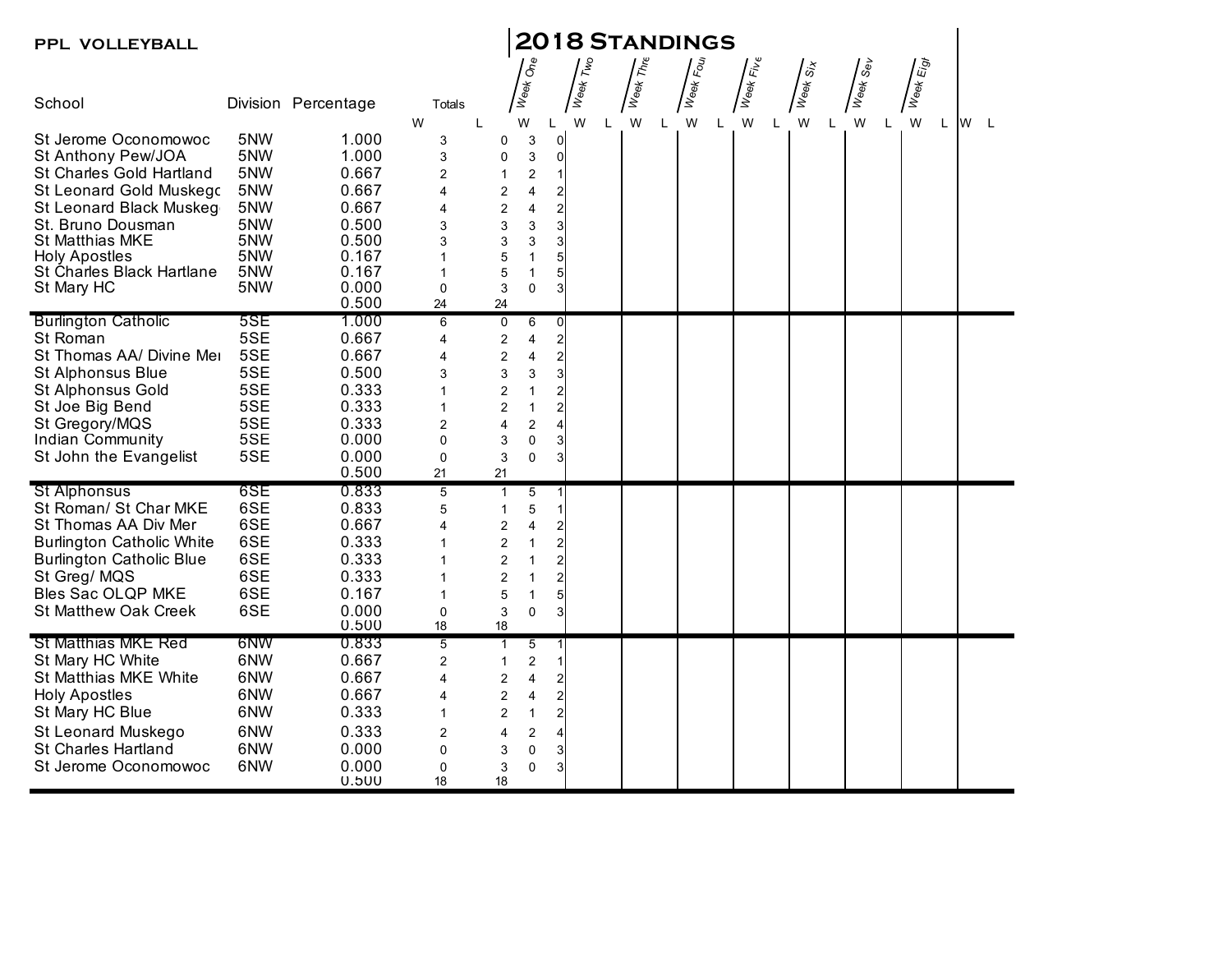| PPL VOLLEYBALL                                 |     | <b>2018 STANDINGS</b> |                         |                                           |                               |                                  |          |   |                                                                                       |    |                   |                                         |                                                                                                                                   |                 |           |  |       |  |
|------------------------------------------------|-----|-----------------------|-------------------------|-------------------------------------------|-------------------------------|----------------------------------|----------|---|---------------------------------------------------------------------------------------|----|-------------------|-----------------------------------------|-----------------------------------------------------------------------------------------------------------------------------------|-----------------|-----------|--|-------|--|
|                                                |     |                       |                         |                                           |                               |                                  |          |   |                                                                                       |    |                   |                                         |                                                                                                                                   |                 |           |  |       |  |
| School                                         |     | Division Percentage   | Totals                  |                                           | Week One                      |                                  | Week Two |   | $\sqrt{\frac{1}{\hbar}}\left\langle \frac{\partial}{\partial \phi}\right\rangle _{H}$ |    | <b>Assisted</b>   | $\int_{\psi\otimes\psi\atop W_\varphi}$ | $\sqrt{\check{\check{\mathcal{S}}}_{\check{\mathcal{S}}\check{\check{\mathcal{S}}}_{\check{\mathcal{S}}}}^{\check{\mathcal{S}}}}$ | <b>Assisted</b> | Week Eigt |  |       |  |
| St Jerome Oconomowoc                           | 5NW | 1.000                 | W<br>3                  | L<br>0                                    | W<br>3                        | L<br>$\overline{0}$              | W        | L | W                                                                                     | L. | W<br>$\mathsf{L}$ | W                                       | W<br>L                                                                                                                            | W<br>L          | W         |  | L W L |  |
| St Anthony Pew/JOA                             | 5NW | 1.000                 | 3                       | 0                                         | 3                             | 0                                |          |   |                                                                                       |    |                   |                                         |                                                                                                                                   |                 |           |  |       |  |
| St Charles Gold Hartland                       | 5NW | 0.667                 | $\overline{2}$          | $\mathbf{1}$                              | 2                             |                                  |          |   |                                                                                       |    |                   |                                         |                                                                                                                                   |                 |           |  |       |  |
| St Leonard Gold Muskego                        | 5NW | 0.667                 | 4                       | 2                                         | 4                             | 2                                |          |   |                                                                                       |    |                   |                                         |                                                                                                                                   |                 |           |  |       |  |
| St Leonard Black Muskeg                        | 5NW | 0.667                 | 4                       | $\boldsymbol{2}$                          | 4                             | $\overline{\mathbf{c}}$          |          |   |                                                                                       |    |                   |                                         |                                                                                                                                   |                 |           |  |       |  |
| St. Bruno Dousman                              | 5NW | 0.500                 | 3                       | 3                                         | 3                             | 3                                |          |   |                                                                                       |    |                   |                                         |                                                                                                                                   |                 |           |  |       |  |
| <b>St Matthias MKE</b>                         | 5NW | 0.500                 | 3                       | 3                                         | 3                             | 3                                |          |   |                                                                                       |    |                   |                                         |                                                                                                                                   |                 |           |  |       |  |
| <b>Holy Apostles</b>                           | 5NW | 0.167                 |                         | 5                                         | $\overline{1}$                | 5                                |          |   |                                                                                       |    |                   |                                         |                                                                                                                                   |                 |           |  |       |  |
| St Charles Black Hartlane                      | 5NW | 0.167                 | 1                       | 5                                         | $\mathbf{1}$                  | 5                                |          |   |                                                                                       |    |                   |                                         |                                                                                                                                   |                 |           |  |       |  |
| St Mary HC                                     | 5NW | 0.000                 | $\mathbf 0$             | 3                                         | 0                             | 3                                |          |   |                                                                                       |    |                   |                                         |                                                                                                                                   |                 |           |  |       |  |
|                                                |     | 0.500                 | 24                      | 24                                        |                               |                                  |          |   |                                                                                       |    |                   |                                         |                                                                                                                                   |                 |           |  |       |  |
| <b>Burlington Catholic</b>                     | 5SE | 1.000                 | $\,6$                   | 0                                         | 6                             | 0                                |          |   |                                                                                       |    |                   |                                         |                                                                                                                                   |                 |           |  |       |  |
| St Roman                                       | 5SE | 0.667                 | 4                       | 2                                         | 4                             | $\overline{2}$                   |          |   |                                                                                       |    |                   |                                         |                                                                                                                                   |                 |           |  |       |  |
| St Thomas AA/ Divine Mer                       | 5SE | 0.667                 | 4                       | $\overline{c}$                            | 4                             | $\overline{\mathbf{c}}$          |          |   |                                                                                       |    |                   |                                         |                                                                                                                                   |                 |           |  |       |  |
| St Alphonsus Blue                              | 5SE | 0.500                 | 3                       | 3                                         | 3                             | 3                                |          |   |                                                                                       |    |                   |                                         |                                                                                                                                   |                 |           |  |       |  |
| St Alphonsus Gold                              | 5SE | 0.333                 |                         | $\overline{c}$                            | $\mathbf{1}$                  | $\overline{\mathbf{c}}$          |          |   |                                                                                       |    |                   |                                         |                                                                                                                                   |                 |           |  |       |  |
| St Joe Big Bend                                | 5SE | 0.333                 |                         | $\overline{2}$                            | $\mathbf{1}$                  | $\overline{c}$                   |          |   |                                                                                       |    |                   |                                         |                                                                                                                                   |                 |           |  |       |  |
| St Gregory/MQS                                 | 5SE | 0.333                 | $\overline{\mathbf{c}}$ | 4                                         | $\boldsymbol{2}$              | 4                                |          |   |                                                                                       |    |                   |                                         |                                                                                                                                   |                 |           |  |       |  |
| Indian Community                               | 5SE | 0.000                 | $\mathbf 0$             | 3                                         | $\pmb{0}$                     | 3                                |          |   |                                                                                       |    |                   |                                         |                                                                                                                                   |                 |           |  |       |  |
| St John the Evangelist                         | 5SE | 0.000                 | $\mathbf 0$             | 3                                         | 0                             | 3                                |          |   |                                                                                       |    |                   |                                         |                                                                                                                                   |                 |           |  |       |  |
|                                                | 6SE | 0.500<br>0.833        | 21                      | 21                                        |                               |                                  |          |   |                                                                                       |    |                   |                                         |                                                                                                                                   |                 |           |  |       |  |
| St Alphonsus<br>St Roman/ St Char MKE          | 6SE | 0.833                 | 5                       | $\mathbf{1}$                              | 5                             |                                  |          |   |                                                                                       |    |                   |                                         |                                                                                                                                   |                 |           |  |       |  |
| St Thomas AA Div Mer                           | 6SE | 0.667                 | 5<br>4                  | $\mathbf{1}$                              | $\,$ 5 $\,$<br>$\overline{4}$ |                                  |          |   |                                                                                       |    |                   |                                         |                                                                                                                                   |                 |           |  |       |  |
|                                                | 6SE | 0.333                 |                         | 2                                         |                               | 2                                |          |   |                                                                                       |    |                   |                                         |                                                                                                                                   |                 |           |  |       |  |
| <b>Burlington Catholic White</b>               | 6SE | 0.333                 |                         | $\overline{\mathbf{c}}$                   | 1<br>$\overline{1}$           | $\overline{c}$<br>$\overline{c}$ |          |   |                                                                                       |    |                   |                                         |                                                                                                                                   |                 |           |  |       |  |
| <b>Burlington Catholic Blue</b><br>St Greg/MQS | 6SE | 0.333                 |                         | $\overline{\mathbf{c}}$<br>$\overline{2}$ | $\mathbf{1}$                  | $\overline{2}$                   |          |   |                                                                                       |    |                   |                                         |                                                                                                                                   |                 |           |  |       |  |
| <b>Bles Sac OLQP MKE</b>                       | 6SE | 0.167                 |                         | 5                                         | $\mathbf{1}$                  | 5                                |          |   |                                                                                       |    |                   |                                         |                                                                                                                                   |                 |           |  |       |  |
| <b>St Matthew Oak Creek</b>                    | 6SE | 0.000                 | $\mathbf 0$             | 3                                         | $\pmb{0}$                     | 3                                |          |   |                                                                                       |    |                   |                                         |                                                                                                                                   |                 |           |  |       |  |
|                                                |     | 0.500                 | 18                      | 18                                        |                               |                                  |          |   |                                                                                       |    |                   |                                         |                                                                                                                                   |                 |           |  |       |  |
| <b>St Matthias MKE Red</b>                     | 6NW | 0.833                 | 5                       | $\mathbf{1}$                              | $\,$ 5 $\,$                   |                                  |          |   |                                                                                       |    |                   |                                         |                                                                                                                                   |                 |           |  |       |  |
| St Mary HC White                               | 6NW | 0.667                 | 2                       | $\mathbf{1}$                              | $\overline{2}$                |                                  |          |   |                                                                                       |    |                   |                                         |                                                                                                                                   |                 |           |  |       |  |
| St Matthias MKE White                          | 6NW | 0.667                 | 4                       | 2                                         | 4                             | 2                                |          |   |                                                                                       |    |                   |                                         |                                                                                                                                   |                 |           |  |       |  |
| <b>Holy Apostles</b>                           | 6NW | 0.667                 | 4                       | $\overline{c}$                            | 4                             | $\overline{\mathbf{c}}$          |          |   |                                                                                       |    |                   |                                         |                                                                                                                                   |                 |           |  |       |  |
| St Mary HC Blue                                | 6NW | 0.333                 |                         | 2                                         | $\mathbf{1}$                  | $\overline{\mathbf{c}}$          |          |   |                                                                                       |    |                   |                                         |                                                                                                                                   |                 |           |  |       |  |
| St Leonard Muskego                             | 6NW | 0.333                 |                         |                                           |                               |                                  |          |   |                                                                                       |    |                   |                                         |                                                                                                                                   |                 |           |  |       |  |
| St Charles Hartland                            | 6NW | 0.000                 | 2<br>$\pmb{0}$          | 4                                         | $\overline{2}$<br>$\pmb{0}$   | 4                                |          |   |                                                                                       |    |                   |                                         |                                                                                                                                   |                 |           |  |       |  |
| St Jerome Oconomowoc                           | 6NW | 0.000                 | $\mathbf 0$             | 3<br>3                                    | 0                             | 3<br>3                           |          |   |                                                                                       |    |                   |                                         |                                                                                                                                   |                 |           |  |       |  |
|                                                |     | 0.500                 | 18                      | 18                                        |                               |                                  |          |   |                                                                                       |    |                   |                                         |                                                                                                                                   |                 |           |  |       |  |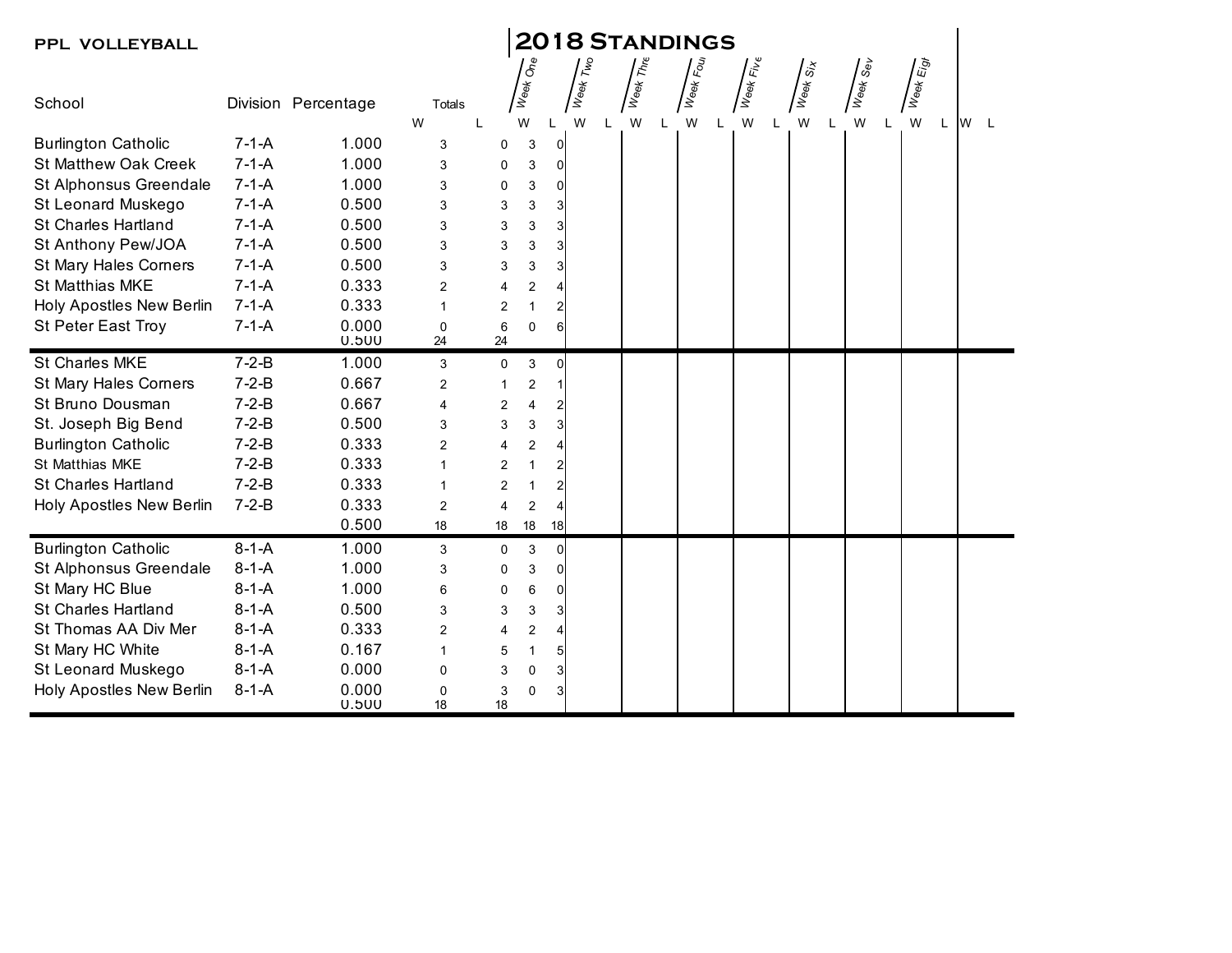| PPL VOLLEYBALL               | <b>2018 STANDINGS</b> |                     |                   |                           |                         |                |                 |  |                                               |           |                                                                  |                                                        |          |           |                 |
|------------------------------|-----------------------|---------------------|-------------------|---------------------------|-------------------------|----------------|-----------------|--|-----------------------------------------------|-----------|------------------------------------------------------------------|--------------------------------------------------------|----------|-----------|-----------------|
| School                       |                       | Division Percentage | Totals            |                           | Week One                |                | <b>Week Two</b> |  | $\sqrt{\frac{1}{\widetilde{N}_{\text{eff}}}}$ | Week Four | $\int_{W\oplus\mathfrak{g}_K}\overline{F_{W\oplus\mathfrak{g}}}$ | $\sqrt{\frac{\dot{\tilde{\delta}}}{\tilde{\delta}^2}}$ | Week Sev | Week Eigt |                 |
|                              |                       |                     | W                 |                           | W                       |                | W               |  | W                                             | W<br>L    | W                                                                | W<br>L                                                 | W        | W<br>L    | <b>W</b><br>- L |
| <b>Burlington Catholic</b>   | $7 - 1 - A$           | 1.000               | 3                 | $\mathbf 0$               | $\sqrt{3}$              | $\overline{0}$ |                 |  |                                               |           |                                                                  |                                                        |          |           |                 |
| <b>St Matthew Oak Creek</b>  | $7 - 1 - A$           | 1.000               | 3                 | 0                         | 3                       | $\Omega$       |                 |  |                                               |           |                                                                  |                                                        |          |           |                 |
| St Alphonsus Greendale       | $7-1-A$               | 1.000               | 3                 | 0                         | 3                       | 0              |                 |  |                                               |           |                                                                  |                                                        |          |           |                 |
| St Leonard Muskego           | $7-1-A$               | 0.500               | 3                 | 3                         | 3                       | 3              |                 |  |                                               |           |                                                                  |                                                        |          |           |                 |
| <b>St Charles Hartland</b>   | $7-1-A$               | 0.500               | 3                 | $\ensuremath{\mathsf{3}}$ | 3                       | 3              |                 |  |                                               |           |                                                                  |                                                        |          |           |                 |
| St Anthony Pew/JOA           | $7-1-A$               | 0.500               | 3                 | 3                         | 3                       | 3              |                 |  |                                               |           |                                                                  |                                                        |          |           |                 |
| <b>St Mary Hales Corners</b> | $7 - 1 - A$           | 0.500               | 3                 | 3                         | 3                       |                |                 |  |                                               |           |                                                                  |                                                        |          |           |                 |
| St Matthias MKE              | $7-1-A$               | 0.333               | 2                 | $\overline{4}$            | $\overline{\mathbf{c}}$ |                |                 |  |                                               |           |                                                                  |                                                        |          |           |                 |
| Holy Apostles New Berlin     | $7 - 1 - A$           | 0.333               | $\mathbf{1}$      | $\overline{2}$            | 1                       |                |                 |  |                                               |           |                                                                  |                                                        |          |           |                 |
| <b>St Peter East Troy</b>    | $7-1-A$               | 0.000<br>0.500      | $\mathbf 0$<br>24 | $6\phantom{1}6$<br>24     | 0                       | 6              |                 |  |                                               |           |                                                                  |                                                        |          |           |                 |
| St Charles MKE               | $7 - 2 - B$           | 1.000               | 3                 | $\pmb{0}$                 | 3                       | $\Omega$       |                 |  |                                               |           |                                                                  |                                                        |          |           |                 |
| <b>St Mary Hales Corners</b> | $7 - 2 - B$           | 0.667               | $\overline{2}$    | $\overline{1}$            | $\overline{\mathbf{c}}$ |                |                 |  |                                               |           |                                                                  |                                                        |          |           |                 |
| St Bruno Dousman             | $7 - 2 - B$           | 0.667               | $\overline{4}$    | $\overline{c}$            | 4                       |                |                 |  |                                               |           |                                                                  |                                                        |          |           |                 |
| St. Joseph Big Bend          | $7 - 2 - B$           | 0.500               | 3                 | 3                         | 3                       |                |                 |  |                                               |           |                                                                  |                                                        |          |           |                 |
| <b>Burlington Catholic</b>   | $7 - 2 - B$           | 0.333               | 2                 | $\overline{4}$            | $\overline{c}$          |                |                 |  |                                               |           |                                                                  |                                                        |          |           |                 |
| St Matthias MKE              | $7 - 2 - B$           | 0.333               | $\mathbf{1}$      | $\overline{2}$            | 1                       |                |                 |  |                                               |           |                                                                  |                                                        |          |           |                 |
| <b>St Charles Hartland</b>   | $7 - 2 - B$           | 0.333               | 1                 | $\overline{2}$            | 1                       | 2              |                 |  |                                               |           |                                                                  |                                                        |          |           |                 |
| Holy Apostles New Berlin     | $7 - 2 - B$           | 0.333               | $\overline{2}$    | $\overline{4}$            | $\overline{2}$          |                |                 |  |                                               |           |                                                                  |                                                        |          |           |                 |
|                              |                       | 0.500               | 18                | $18$                      | $18$                    | 18             |                 |  |                                               |           |                                                                  |                                                        |          |           |                 |
| <b>Burlington Catholic</b>   | $8-1-A$               | 1.000               | 3                 | $\mathbf 0$               | 3                       | $\overline{0}$ |                 |  |                                               |           |                                                                  |                                                        |          |           |                 |
| St Alphonsus Greendale       | $8-1-A$               | 1.000               | 3                 | 0                         | 3                       | 0              |                 |  |                                               |           |                                                                  |                                                        |          |           |                 |
| St Mary HC Blue              | $8-1-A$               | 1.000               | 6                 | 0                         | 6                       | 0              |                 |  |                                               |           |                                                                  |                                                        |          |           |                 |
| <b>St Charles Hartland</b>   | $8-1-A$               | 0.500               | 3                 | 3                         | 3                       |                |                 |  |                                               |           |                                                                  |                                                        |          |           |                 |
| St Thomas AA Div Mer         | $8-1-A$               | 0.333               | 2                 | $\overline{4}$            | 2                       |                |                 |  |                                               |           |                                                                  |                                                        |          |           |                 |
| St Mary HC White             | $8-1-A$               | 0.167               | $\mathbf{1}$      | 5                         | 1                       | 5              |                 |  |                                               |           |                                                                  |                                                        |          |           |                 |
| St Leonard Muskego           | $8-1-A$               | 0.000               | 0                 | 3                         | $\mathbf 0$             | 3              |                 |  |                                               |           |                                                                  |                                                        |          |           |                 |
| Holy Apostles New Berlin     | $8-1-A$               | 0.000<br>0.500      | 0<br>18           | 3<br>18                   | $\mathbf 0$             |                |                 |  |                                               |           |                                                                  |                                                        |          |           |                 |